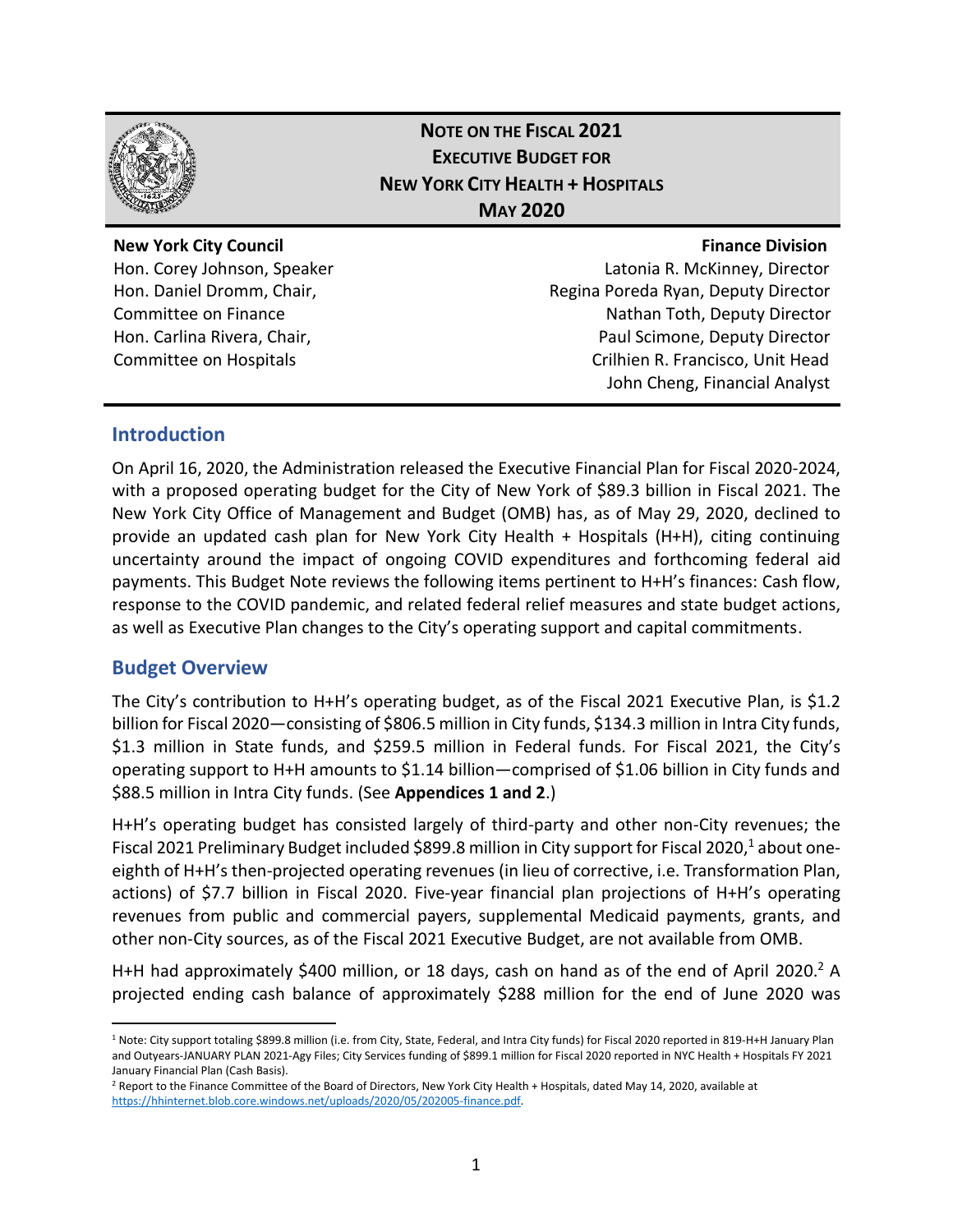

# **NOTE ON THE FISCAL 2021 EXECUTIVE BUDGET FOR NEW YORK CITY HEALTH + HOSPITALS MAY 2020**

#### **New York City Council Finance Division**

Hon. Corey Johnson, Speaker Latonia R. McKinney, Director Hon. Daniel Dromm, Chair, Regina Poreda Ryan, Deputy Director Committee on Finance **Nathan Toth, Deputy Director** Nathan Toth, Deputy Director Hon. Carlina Rivera, Chair, Paul Scimone, Deputy Director Committee on Hospitals Crilhien R. Francisco, Unit Head John Cheng, Financial Analyst

### **Introduction**

On April 16, 2020, the Administration released the Executive Financial Plan for Fiscal 2020-2024, with a proposed operating budget for the City of New York of \$89.3 billion in Fiscal 2021. The New York City Office of Management and Budget (OMB) has, as of May 29, 2020, declined to provide an updated cash plan for New York City Health + Hospitals (H+H), citing continuing uncertainty around the impact of ongoing COVID expenditures and forthcoming federal aid payments. This Budget Note reviews the following items pertinent to H+H's finances: Cash flow, response to the COVID pandemic, and related federal relief measures and state budget actions, as well as Executive Plan changes to the City's operating support and capital commitments.

# **Budget Overview**

 $\overline{a}$ 

The City's contribution to H+H's operating budget, as of the Fiscal 2021 Executive Plan, is \$1.2 billion for Fiscal 2020—consisting of \$806.5 million in City funds, \$134.3 million in Intra City funds, \$1.3 million in State funds, and \$259.5 million in Federal funds. For Fiscal 2021, the City's operating support to H+H amounts to \$1.14 billion—comprised of \$1.06 billion in City funds and \$88.5 million in Intra City funds. (See **Appendices 1 and 2**.)

H+H's operating budget has consisted largely of third-party and other non-City revenues; the Fiscal 2021 Preliminary Budget included \$899.8 million in City support for Fiscal 2020,<sup>1</sup> about oneeighth of H+H's then-projected operating revenues (in lieu of corrective, i.e. Transformation Plan, actions) of \$7.7 billion in Fiscal 2020. Five-year financial plan projections of H+H's operating revenues from public and commercial payers, supplemental Medicaid payments, grants, and other non-City sources, as of the Fiscal 2021 Executive Budget, are not available from OMB.

H+H had approximately \$400 million, or 18 days, cash on hand as of the end of April 2020.<sup>2</sup> A projected ending cash balance of approximately \$288 million for the end of June 2020 was

<sup>&</sup>lt;sup>1</sup> Note: City support totaling \$899.8 million (i.e. from City, State, Federal, and Intra City funds) for Fiscal 2020 reported in 819-H+H January Plan and Outyears-JANUARY PLAN 2021-Agy Files; City Services funding of \$899.1 million for Fiscal 2020 reported in NYC Health + Hospitals FY 2021 January Financial Plan (Cash Basis).

<sup>&</sup>lt;sup>2</sup> Report to the Finance Committee of the Board of Directors, New York City Health + Hospitals, dated May 14, 2020, available at [https://hhinternet.blob.core.windows.net/uploads/2020/05/202005-finance.pdf.](https://hhinternet.blob.core.windows.net/uploads/2020/05/202005-finance.pdf)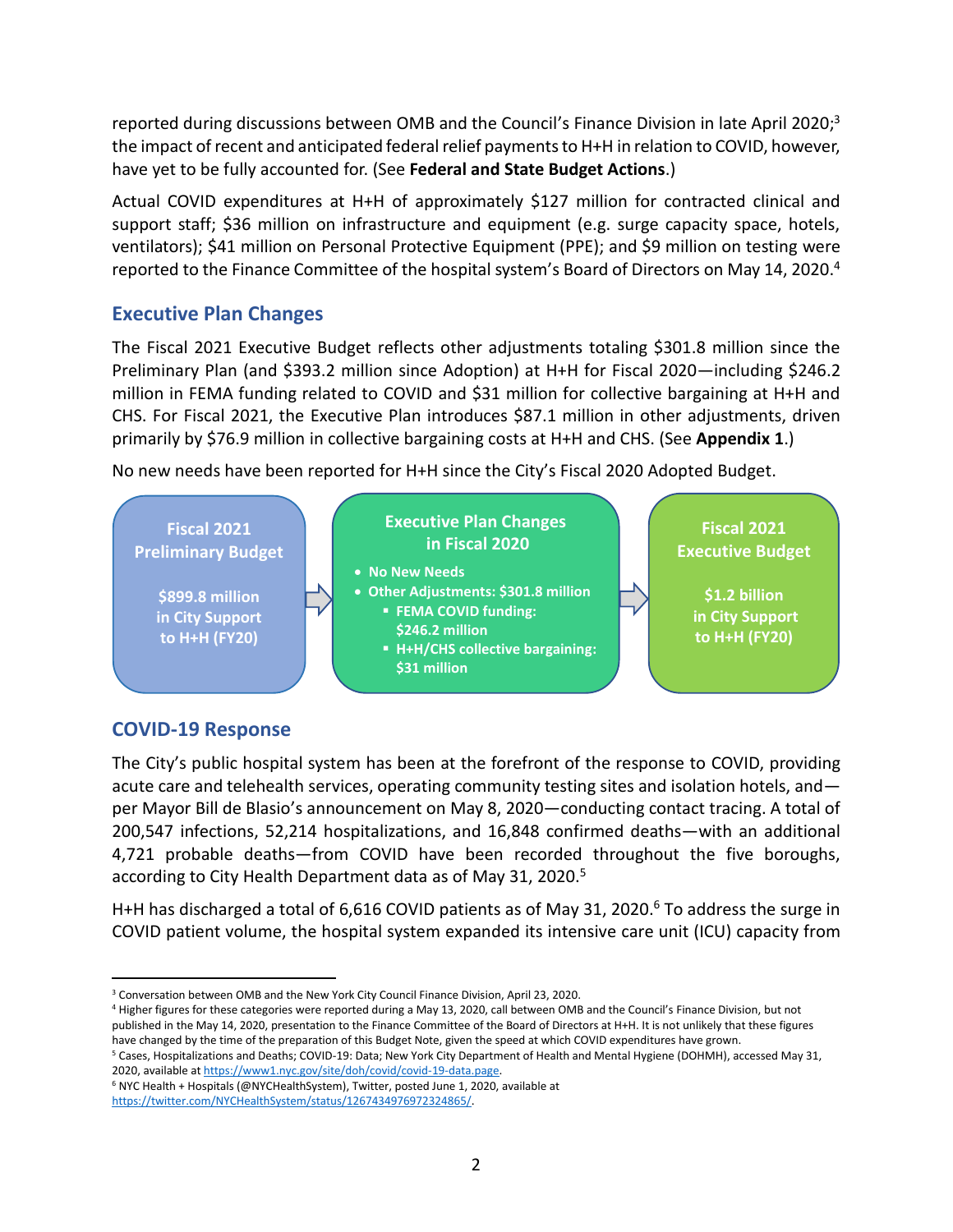reported during discussions between OMB and the Council's Finance Division in late April 2020;<sup>3</sup> the impact of recent and anticipated federal relief payments to H+H in relation to COVID, however, have yet to be fully accounted for. (See **Federal and State Budget Actions**.)

Actual COVID expenditures at H+H of approximately \$127 million for contracted clinical and support staff; \$36 million on infrastructure and equipment (e.g. surge capacity space, hotels, ventilators); \$41 million on Personal Protective Equipment (PPE); and \$9 million on testing were reported to the Finance Committee of the hospital system's Board of Directors on May 14, 2020.<sup>4</sup>

# **Executive Plan Changes**

The Fiscal 2021 Executive Budget reflects other adjustments totaling \$301.8 million since the Preliminary Plan (and \$393.2 million since Adoption) at H+H for Fiscal 2020—including \$246.2 million in FEMA funding related to COVID and \$31 million for collective bargaining at H+H and CHS. For Fiscal 2021, the Executive Plan introduces \$87.1 million in other adjustments, driven primarily by \$76.9 million in collective bargaining costs at H+H and CHS. (See **Appendix 1**.)

No new needs have been reported for H+H since the City's Fiscal 2020 Adopted Budget.



# **COVID-19 Response**

The City's public hospital system has been at the forefront of the response to COVID, providing acute care and telehealth services, operating community testing sites and isolation hotels, and per Mayor Bill de Blasio's announcement on May 8, 2020—conducting contact tracing. A total of 200,547 infections, 52,214 hospitalizations, and 16,848 confirmed deaths—with an additional 4,721 probable deaths—from COVID have been recorded throughout the five boroughs, according to City Health Department data as of May 31, 2020.<sup>5</sup>

H+H has discharged a total of 6,616 COVID patients as of May 31, 2020.<sup>6</sup> To address the surge in COVID patient volume, the hospital system expanded its intensive care unit (ICU) capacity from

<sup>4</sup> Higher figures for these categories were reported during a May 13, 2020, call between OMB and the Council's Finance Division, but not published in the May 14, 2020, presentation to the Finance Committee of the Board of Directors at H+H. It is not unlikely that these figures have changed by the time of the preparation of this Budget Note, given the speed at which COVID expenditures have grown.

<sup>5</sup> Cases, Hospitalizations and Deaths; COVID-19: Data; New York City Department of Health and Mental Hygiene (DOHMH), accessed May 31, 2020, available a[t https://www1.nyc.gov/site/doh/covid/covid-19-data.page.](https://www1.nyc.gov/site/doh/covid/covid-19-data.page) 

<sup>6</sup> NYC Health + Hospitals (@NYCHealthSystem), Twitter, posted June 1, 2020, available at [https://twitter.com/NYCHealthSystem/status/1267434976972324865/.](https://twitter.com/NYCHealthSystem/status/1267434976972324865/)

 $\overline{a}$ <sup>3</sup> Conversation between OMB and the New York City Council Finance Division, April 23, 2020.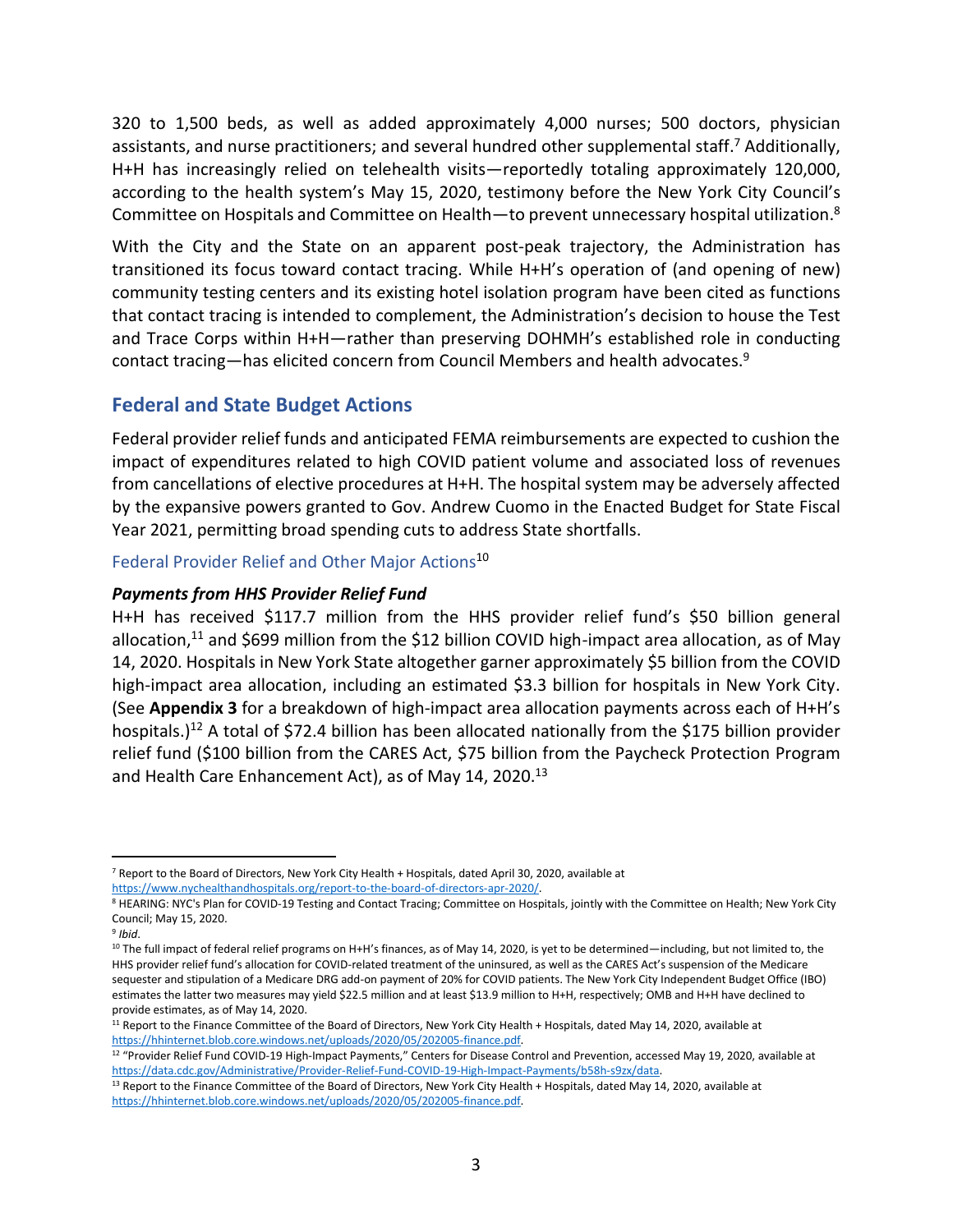320 to 1,500 beds, as well as added approximately 4,000 nurses; 500 doctors, physician assistants, and nurse practitioners; and several hundred other supplemental staff.<sup>7</sup> Additionally, H+H has increasingly relied on telehealth visits—reportedly totaling approximately 120,000, according to the health system's May 15, 2020, testimony before the New York City Council's Committee on Hospitals and Committee on Health—to prevent unnecessary hospital utilization.<sup>8</sup>

With the City and the State on an apparent post-peak trajectory, the Administration has transitioned its focus toward contact tracing. While H+H's operation of (and opening of new) community testing centers and its existing hotel isolation program have been cited as functions that contact tracing is intended to complement, the Administration's decision to house the Test and Trace Corps within H+H—rather than preserving DOHMH's established role in conducting contact tracing—has elicited concern from Council Members and health advocates. 9

# **Federal and State Budget Actions**

Federal provider relief funds and anticipated FEMA reimbursements are expected to cushion the impact of expenditures related to high COVID patient volume and associated loss of revenues from cancellations of elective procedures at H+H. The hospital system may be adversely affected by the expansive powers granted to Gov. Andrew Cuomo in the Enacted Budget for State Fiscal Year 2021, permitting broad spending cuts to address State shortfalls.

#### Federal Provider Relief and Other Major Actions<sup>10</sup>

#### *Payments from HHS Provider Relief Fund*

H+H has received \$117.7 million from the HHS provider relief fund's \$50 billion general allocation, $11$  and \$699 million from the \$12 billion COVID high-impact area allocation, as of May 14, 2020. Hospitals in New York State altogether garner approximately \$5 billion from the COVID high-impact area allocation, including an estimated \$3.3 billion for hospitals in New York City. (See **Appendix 3** for a breakdown of high-impact area allocation payments across each of H+H's hospitals.)<sup>12</sup> A total of \$72.4 billion has been allocated nationally from the \$175 billion provider relief fund (\$100 billion from the CARES Act, \$75 billion from the Paycheck Protection Program and Health Care Enhancement Act), as of May 14, 2020.<sup>13</sup>

 $\overline{a}$ <sup>7</sup> Report to the Board of Directors, New York City Health + Hospitals, dated April 30, 2020, available at [https://www.nychealthandhospitals.org/report-to-the-board-of-directors-apr-2020/.](https://www.nychealthandhospitals.org/report-to-the-board-of-directors-apr-2020/)

<sup>&</sup>lt;sup>8</sup> HEARING: NYC's Plan for COVID-19 Testing and Contact Tracing; Committee on Hospitals, jointly with the Committee on Health; New York City Council; May 15, 2020.

<sup>9</sup> *Ibid*.

<sup>&</sup>lt;sup>10</sup> The full impact of federal relief programs on H+H's finances, as of May 14, 2020, is yet to be determined—including, but not limited to, the HHS provider relief fund's allocation for COVID-related treatment of the uninsured, as well as the CARES Act's suspension of the Medicare sequester and stipulation of a Medicare DRG add-on payment of 20% for COVID patients. The New York City Independent Budget Office (IBO) estimates the latter two measures may yield \$22.5 million and at least \$13.9 million to H+H, respectively; OMB and H+H have declined to provide estimates, as of May 14, 2020.

<sup>11</sup> Report to the Finance Committee of the Board of Directors, New York City Health + Hospitals, dated May 14, 2020, available at [https://hhinternet.blob.core.windows.net/uploads/2020/05/202005-finance.pdf.](https://hhinternet.blob.core.windows.net/uploads/2020/05/202005-finance.pdf)

<sup>&</sup>lt;sup>12</sup> "Provider Relief Fund COVID-19 High-Impact Payments," Centers for Disease Control and Prevention, accessed May 19, 2020, available at [https://data.cdc.gov/Administrative/Provider-Relief-Fund-COVID-19-High-Impact-Payments/b58h-s9zx/data.](https://data.cdc.gov/Administrative/Provider-Relief-Fund-COVID-19-High-Impact-Payments/b58h-s9zx/data) 

<sup>&</sup>lt;sup>13</sup> Report to the Finance Committee of the Board of Directors, New York City Health + Hospitals, dated May 14, 2020, available at [https://hhinternet.blob.core.windows.net/uploads/2020/05/202005-finance.pdf.](https://hhinternet.blob.core.windows.net/uploads/2020/05/202005-finance.pdf)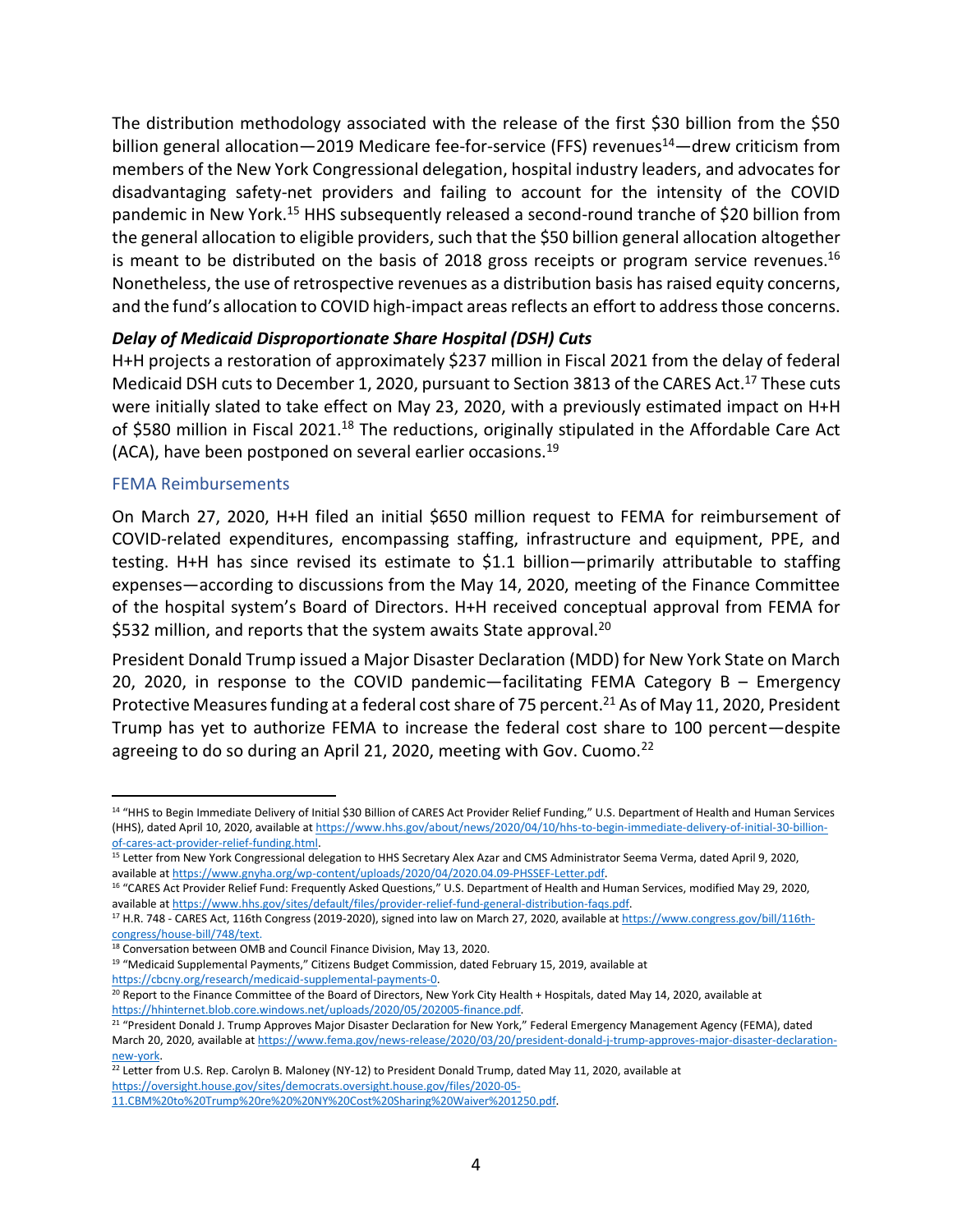The distribution methodology associated with the release of the first \$30 billion from the \$50 billion general allocation—2019 Medicare fee-for-service (FFS) revenues<sup>14</sup>—drew criticism from members of the New York Congressional delegation, hospital industry leaders, and advocates for disadvantaging safety-net providers and failing to account for the intensity of the COVID pandemic in New York.<sup>15</sup> HHS subsequently released a second-round tranche of \$20 billion from the general allocation to eligible providers, such that the \$50 billion general allocation altogether is meant to be distributed on the basis of 2018 gross receipts or program service revenues.<sup>16</sup> Nonetheless, the use of retrospective revenues as a distribution basis has raised equity concerns, and the fund's allocation to COVID high-impact areas reflects an effort to address those concerns.

#### *Delay of Medicaid Disproportionate Share Hospital (DSH) Cuts*

H+H projects a restoration of approximately \$237 million in Fiscal 2021 from the delay of federal Medicaid DSH cuts to December 1, 2020, pursuant to Section 3813 of the CARES Act.<sup>17</sup> These cuts were initially slated to take effect on May 23, 2020, with a previously estimated impact on H+H of \$580 million in Fiscal 2021.<sup>18</sup> The reductions, originally stipulated in the Affordable Care Act (ACA), have been postponed on several earlier occasions.<sup>19</sup>

#### FEMA Reimbursements

 $\overline{a}$ 

On March 27, 2020, H+H filed an initial \$650 million request to FEMA for reimbursement of COVID-related expenditures, encompassing staffing, infrastructure and equipment, PPE, and testing. H+H has since revised its estimate to \$1.1 billion—primarily attributable to staffing expenses—according to discussions from the May 14, 2020, meeting of the Finance Committee of the hospital system's Board of Directors. H+H received conceptual approval from FEMA for \$532 million, and reports that the system awaits State approval.<sup>20</sup>

President Donald Trump issued a Major Disaster Declaration (MDD) for New York State on March 20, 2020, in response to the COVID pandemic—facilitating FEMA Category  $B - E$  Emergency Protective Measures funding at a federal cost share of 75 percent.<sup>21</sup> As of May 11, 2020, President Trump has yet to authorize FEMA to increase the federal cost share to 100 percent—despite agreeing to do so during an April 21, 2020, meeting with Gov. Cuomo. $^{22}$ 

[https://cbcny.org/research/medicaid-supplemental-payments-0.](https://cbcny.org/research/medicaid-supplemental-payments-0)

<sup>&</sup>lt;sup>14</sup> "HHS to Begin Immediate Delivery of Initial \$30 Billion of CARES Act Provider Relief Funding," U.S. Department of Health and Human Services (HHS), dated April 10, 2020, available a[t https://www.hhs.gov/about/news/2020/04/10/hhs-to-begin-immediate-delivery-of-initial-30-billion](https://www.hhs.gov/about/news/2020/04/10/hhs-to-begin-immediate-delivery-of-initial-30-billion-of-cares-act-provider-relief-funding.html)[of-cares-act-provider-relief-funding.html.](https://www.hhs.gov/about/news/2020/04/10/hhs-to-begin-immediate-delivery-of-initial-30-billion-of-cares-act-provider-relief-funding.html) 

<sup>&</sup>lt;sup>15</sup> Letter from New York Congressional delegation to HHS Secretary Alex Azar and CMS Administrator Seema Verma, dated April 9, 2020, available a[t https://www.gnyha.org/wp-content/uploads/2020/04/2020.04.09-PHSSEF-Letter.pdf.](https://www.gnyha.org/wp-content/uploads/2020/04/2020.04.09-PHSSEF-Letter.pdf) 

<sup>&</sup>lt;sup>16</sup> "CARES Act Provider Relief Fund: Frequently Asked Questions," U.S. Department of Health and Human Services, modified May 29, 2020, available a[t https://www.hhs.gov/sites/default/files/provider-relief-fund-general-distribution-faqs.pdf.](https://www.hhs.gov/sites/default/files/provider-relief-fund-general-distribution-faqs.pdf) 

<sup>&</sup>lt;sup>17</sup> H.R. 748 - CARES Act, 116th Congress (2019-2020), signed into law on March 27, 2020, available a[t https://www.congress.gov/bill/116th](https://www.congress.gov/bill/116th-congress/house-bill/748/text)[congress/house-bill/748/text.](https://www.congress.gov/bill/116th-congress/house-bill/748/text)

<sup>18</sup> Conversation between OMB and Council Finance Division, May 13, 2020.

<sup>&</sup>lt;sup>19</sup> "Medicaid Supplemental Payments," Citizens Budget Commission, dated February 15, 2019, available at

<sup>20</sup> Report to the Finance Committee of the Board of Directors, New York City Health + Hospitals, dated May 14, 2020, available at [https://hhinternet.blob.core.windows.net/uploads/2020/05/202005-finance.pdf.](https://hhinternet.blob.core.windows.net/uploads/2020/05/202005-finance.pdf)

<sup>&</sup>lt;sup>21</sup> "President Donald J. Trump Approves Major Disaster Declaration for New York," Federal Emergency Management Agency (FEMA), dated March 20, 2020, available a[t https://www.fema.gov/news-release/2020/03/20/president-donald-j-trump-approves-major-disaster-declaration](https://www.fema.gov/news-release/2020/03/20/president-donald-j-trump-approves-major-disaster-declaration-new-york)[new-york.](https://www.fema.gov/news-release/2020/03/20/president-donald-j-trump-approves-major-disaster-declaration-new-york) 

 $22$  Letter from U.S. Rep. Carolyn B. Maloney (NY-12) to President Donald Trump, dated May 11, 2020, available at [https://oversight.house.gov/sites/democrats.oversight.house.gov/files/2020-05-](https://oversight.house.gov/sites/democrats.oversight.house.gov/files/2020-05-11.CBM%20to%20Trump%20re%20%20NY%20Cost%20Sharing%20Waiver%201250.pdf)

[<sup>11.</sup>CBM%20to%20Trump%20re%20%20NY%20Cost%20Sharing%20Waiver%201250.pdf.](https://oversight.house.gov/sites/democrats.oversight.house.gov/files/2020-05-11.CBM%20to%20Trump%20re%20%20NY%20Cost%20Sharing%20Waiver%201250.pdf)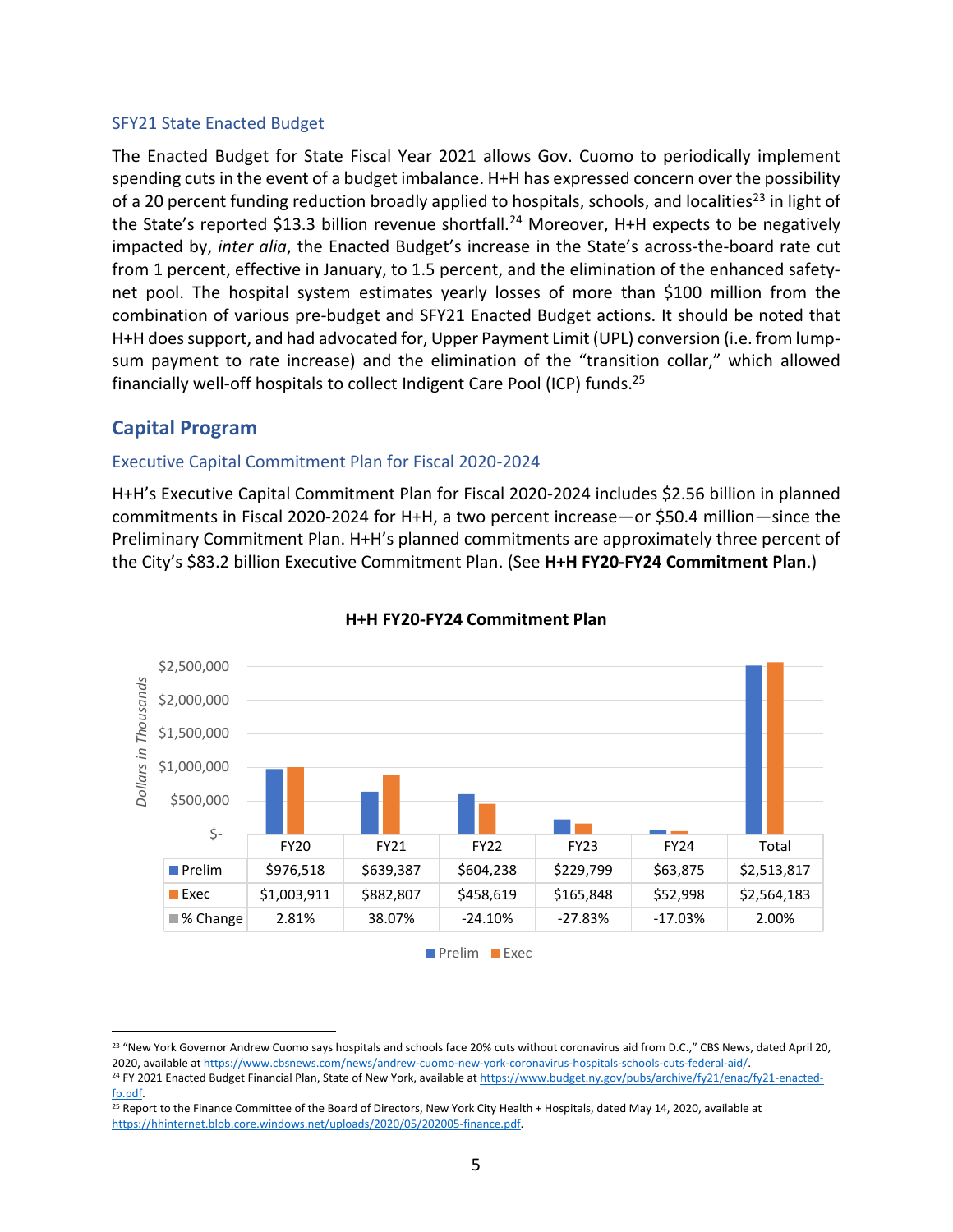#### SFY21 State Enacted Budget

The Enacted Budget for State Fiscal Year 2021 allows Gov. Cuomo to periodically implement spending cuts in the event of a budget imbalance. H+H has expressed concern over the possibility of a 20 percent funding reduction broadly applied to hospitals, schools, and localities<sup>23</sup> in light of the State's reported \$13.3 billion revenue shortfall.<sup>24</sup> Moreover, H+H expects to be negatively impacted by, *inter alia*, the Enacted Budget's increase in the State's across-the-board rate cut from 1 percent, effective in January, to 1.5 percent, and the elimination of the enhanced safetynet pool. The hospital system estimates yearly losses of more than \$100 million from the combination of various pre-budget and SFY21 Enacted Budget actions. It should be noted that H+H does support, and had advocated for, Upper Payment Limit (UPL) conversion (i.e. from lumpsum payment to rate increase) and the elimination of the "transition collar," which allowed financially well-off hospitals to collect Indigent Care Pool (ICP) funds.<sup>25</sup>

# **Capital Program**

 $\overline{a}$ 

#### Executive Capital Commitment Plan for Fiscal 2020-2024

H+H's Executive Capital Commitment Plan for Fiscal 2020-2024 includes \$2.56 billion in planned commitments in Fiscal 2020-2024 for H+H, a two percent increase—or \$50.4 million—since the Preliminary Commitment Plan. H+H's planned commitments are approximately three percent of the City's \$83.2 billion Executive Commitment Plan. (See **H+H FY20-FY24 Commitment Plan**.)



#### **H+H FY20-FY24 Commitment Plan**

Prelim **Exec** 

<sup>&</sup>lt;sup>23</sup> "New York Governor Andrew Cuomo says hospitals and schools face 20% cuts without coronavirus aid from D.C.," CBS News, dated April 20, 2020, available a[t https://www.cbsnews.com/news/andrew-cuomo-new-york-coronavirus-hospitals-schools-cuts-federal-aid/.](https://www.cbsnews.com/news/andrew-cuomo-new-york-coronavirus-hospitals-schools-cuts-federal-aid/) 

<sup>&</sup>lt;sup>24</sup> FY 2021 Enacted Budget Financial Plan, State of New York, available a[t https://www.budget.ny.gov/pubs/archive/fy21/enac/fy21-enacted](https://www.budget.ny.gov/pubs/archive/fy21/enac/fy21-enacted-fp.pdf)[fp.pdf.](https://www.budget.ny.gov/pubs/archive/fy21/enac/fy21-enacted-fp.pdf) 

<sup>&</sup>lt;sup>25</sup> Report to the Finance Committee of the Board of Directors, New York City Health + Hospitals, dated May 14, 2020, available at [https://hhinternet.blob.core.windows.net/uploads/2020/05/202005-finance.pdf.](https://hhinternet.blob.core.windows.net/uploads/2020/05/202005-finance.pdf)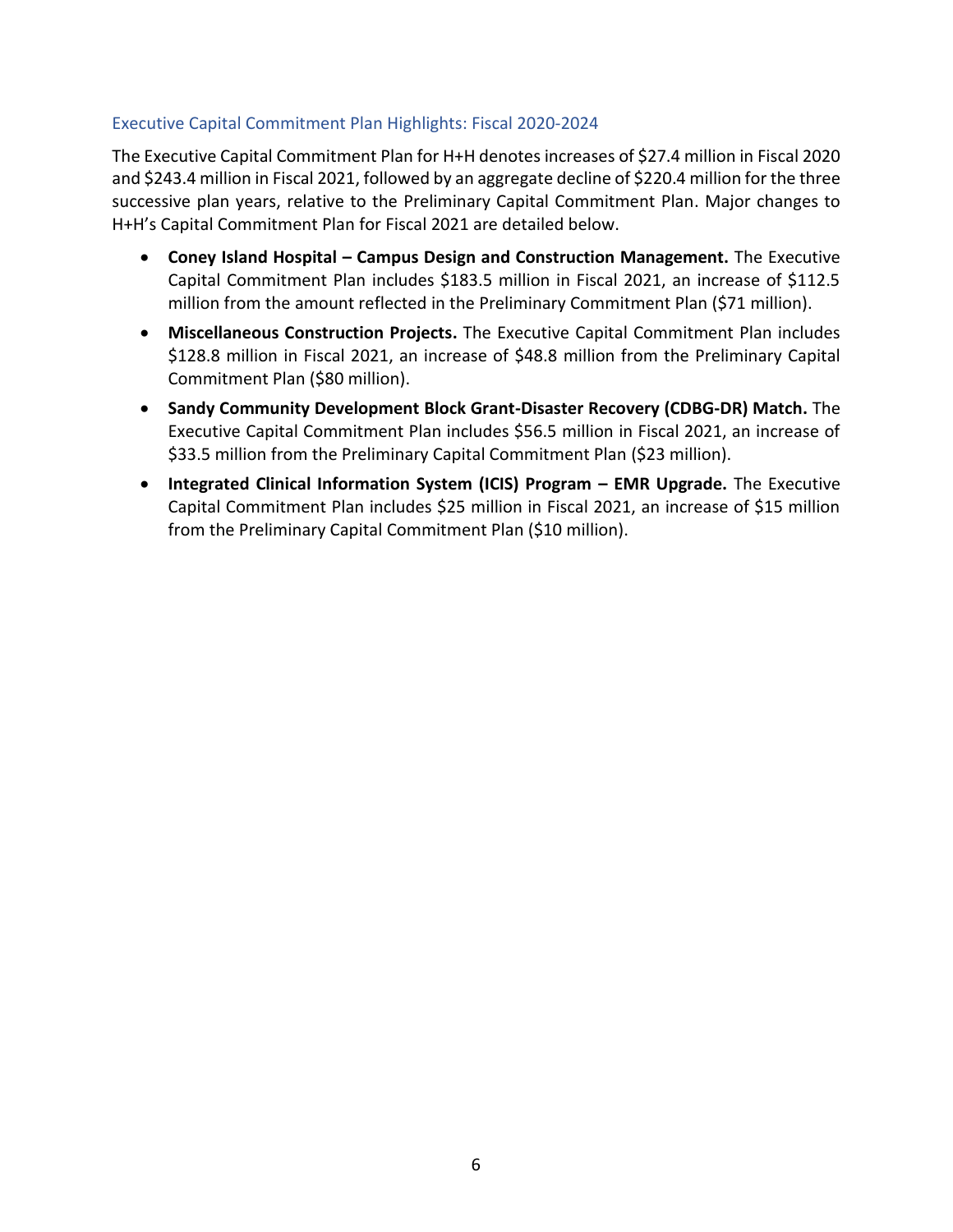#### Executive Capital Commitment Plan Highlights: Fiscal 2020-2024

The Executive Capital Commitment Plan for H+H denotes increases of \$27.4 million in Fiscal 2020 and \$243.4 million in Fiscal 2021, followed by an aggregate decline of \$220.4 million for the three successive plan years, relative to the Preliminary Capital Commitment Plan. Major changes to H+H's Capital Commitment Plan for Fiscal 2021 are detailed below.

- **Coney Island Hospital – Campus Design and Construction Management.** The Executive Capital Commitment Plan includes \$183.5 million in Fiscal 2021, an increase of \$112.5 million from the amount reflected in the Preliminary Commitment Plan (\$71 million).
- **Miscellaneous Construction Projects.** The Executive Capital Commitment Plan includes \$128.8 million in Fiscal 2021, an increase of \$48.8 million from the Preliminary Capital Commitment Plan (\$80 million).
- **Sandy Community Development Block Grant-Disaster Recovery (CDBG-DR) Match.** The Executive Capital Commitment Plan includes \$56.5 million in Fiscal 2021, an increase of \$33.5 million from the Preliminary Capital Commitment Plan (\$23 million).
- **Integrated Clinical Information System (ICIS) Program – EMR Upgrade.** The Executive Capital Commitment Plan includes \$25 million in Fiscal 2021, an increase of \$15 million from the Preliminary Capital Commitment Plan (\$10 million).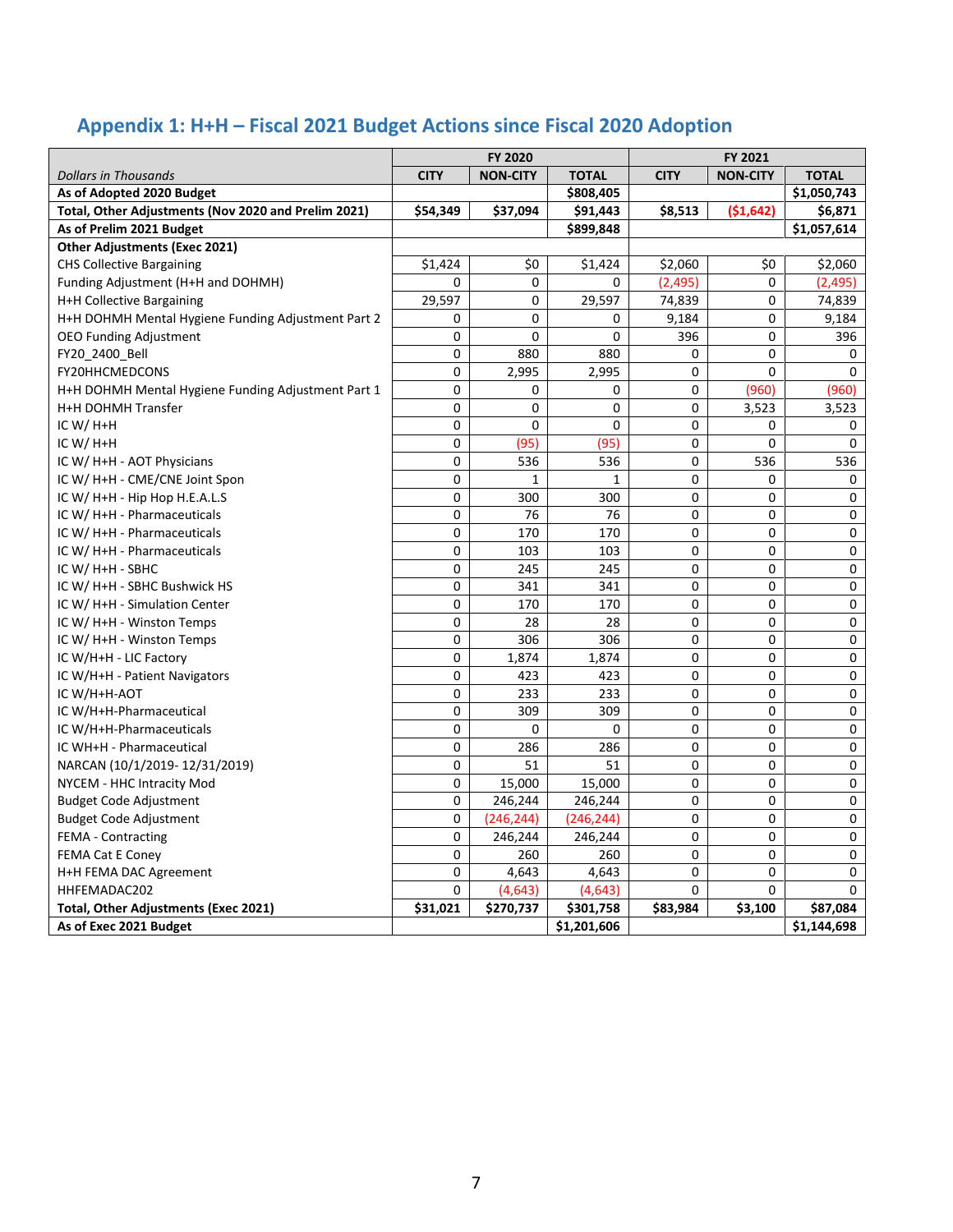# **Appendix 1: H+H – Fiscal 2021 Budget Actions since Fiscal 2020 Adoption**

|                                                     | FY 2020     |                 |              | FY 2021     |                 |              |
|-----------------------------------------------------|-------------|-----------------|--------------|-------------|-----------------|--------------|
| <b>Dollars in Thousands</b>                         | <b>CITY</b> | <b>NON-CITY</b> | <b>TOTAL</b> | <b>CITY</b> | <b>NON-CITY</b> | <b>TOTAL</b> |
| As of Adopted 2020 Budget                           |             |                 | \$808,405    |             |                 | \$1,050,743  |
| Total, Other Adjustments (Nov 2020 and Prelim 2021) | \$54,349    | \$37,094        | \$91,443     | \$8,513     | (\$1,642)       | \$6,871      |
| As of Prelim 2021 Budget                            |             |                 | \$899,848    |             |                 | \$1,057,614  |
| <b>Other Adjustments (Exec 2021)</b>                |             |                 |              |             |                 |              |
| <b>CHS Collective Bargaining</b>                    | \$1,424     | \$0             | \$1,424      | \$2,060     | \$0             | \$2,060      |
| Funding Adjustment (H+H and DOHMH)                  | 0           | $\Omega$        | 0            | (2, 495)    | 0               | (2, 495)     |
| H+H Collective Bargaining                           | 29,597      | 0               | 29,597       | 74,839      | 0               | 74,839       |
| H+H DOHMH Mental Hygiene Funding Adjustment Part 2  | 0           | 0               | 0            | 9,184       | 0               | 9,184        |
| <b>OEO Funding Adjustment</b>                       | 0           | 0               | 0            | 396         | 0               | 396          |
| FY20 2400 Bell                                      | $\Omega$    | 880             | 880          | 0           | 0               | 0            |
| FY20HHCMEDCONS                                      | 0           | 2,995           | 2,995        | 0           | 0               | $\Omega$     |
| H+H DOHMH Mental Hygiene Funding Adjustment Part 1  | 0           | 0               | 0            | 0           | (960)           | (960)        |
| H+H DOHMH Transfer                                  | 0           | 0               | 0            | 0           | 3,523           | 3,523        |
| IC W/ $H+H$                                         | 0           | $\mathbf 0$     | 0            | 0           | 0               | 0            |
| IC W/ $H+H$                                         | 0           | (95)            | (95)         | 0           | 0               | 0            |
| IC W/ H+H - AOT Physicians                          | $\Omega$    | 536             | 536          | 0           | 536             | 536          |
| IC W/ H+H - CME/CNE Joint Spon                      | 0           | $\mathbf{1}$    | 1            | 0           | 0               | 0            |
| IC W/ H+H - Hip Hop H.E.A.L.S                       | 0           | 300             | 300          | 0           | 0               | 0            |
| IC W/ H+H - Pharmaceuticals                         | $\mathbf 0$ | 76              | 76           | 0           | 0               | 0            |
| IC W/ H+H - Pharmaceuticals                         | $\Omega$    | 170             | 170          | 0           | 0               | 0            |
| IC W/ H+H - Pharmaceuticals                         | 0           | 103             | 103          | 0           | 0               | 0            |
| IC W/ H+H - SBHC                                    | 0           | 245             | 245          | 0           | 0               | 0            |
| IC W/ H+H - SBHC Bushwick HS                        | 0           | 341             | 341          | 0           | 0               | 0            |
| IC W/ H+H - Simulation Center                       | $\Omega$    | 170             | 170          | 0           | 0               | 0            |
| IC W/ H+H - Winston Temps                           | 0           | 28              | 28           | 0           | 0               | 0            |
| IC W/ H+H - Winston Temps                           | 0           | 306             | 306          | 0           | 0               | 0            |
| IC W/H+H - LIC Factory                              | 0           | 1,874           | 1,874        | 0           | 0               | 0            |
| IC W/H+H - Patient Navigators                       | 0           | 423             | 423          | 0           | 0               | 0            |
| IC W/H+H-AOT                                        | 0           | 233             | 233          | 0           | 0               | 0            |
| IC W/H+H-Pharmaceutical                             | 0           | 309             | 309          | 0           | 0               | 0            |
| IC W/H+H-Pharmaceuticals                            | 0           | 0               | 0            | 0           | 0               | 0            |
| IC WH+H - Pharmaceutical                            | $\mathbf 0$ | 286             | 286          | 0           | 0               | 0            |
| NARCAN (10/1/2019-12/31/2019)                       | 0           | 51              | 51           | 0           | 0               | 0            |
| NYCEM - HHC Intracity Mod                           | 0           | 15,000          | 15,000       | 0           | 0               | 0            |
| <b>Budget Code Adjustment</b>                       | $\Omega$    | 246,244         | 246,244      | 0           | 0               | 0            |
| <b>Budget Code Adjustment</b>                       | 0           | (246, 244)      | (246, 244)   | 0           | 0               | 0            |
| <b>FEMA - Contracting</b>                           | $\Omega$    | 246,244         | 246,244      | 0           | 0               | 0            |
| <b>FEMA Cat E Coney</b>                             | 0           | 260             | 260          | 0           | 0               | 0            |
| H+H FEMA DAC Agreement                              | $\Omega$    | 4,643           | 4,643        | 0           | 0               | 0            |
| HHFEMADAC202                                        | $\Omega$    | (4,643)         | (4,643)      | 0           | 0               | $\Omega$     |
| <b>Total, Other Adjustments (Exec 2021)</b>         | \$31,021    | \$270,737       | \$301,758    | \$83,984    | \$3,100         | \$87,084     |
| As of Exec 2021 Budget                              |             |                 | \$1,201,606  |             |                 | \$1,144,698  |